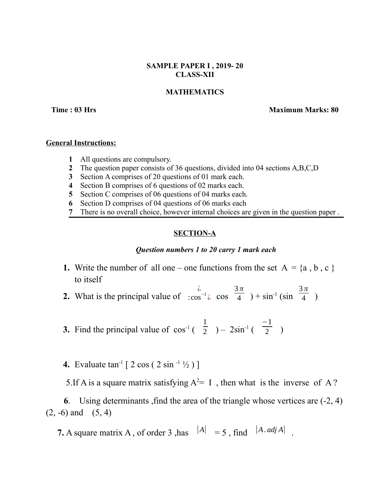## **SAMPLE PAPER I , 2019- 20 CLASS-XII**

# **MATHEMATICS**

**Time : 03 Hrs Maximum Marks: 80**

### **General Instructions:**

- **1** All questions are compulsory.
- **2** The question paper consists of 36 questions, divided into 04 sections A,B,C,D
- **3** Section A comprises of 20 questions of 01 mark each.
- **4** Section B comprises of 6 questions of 02 marks each.
- **5** Section C comprises of 06 questions of 04 marks each.
- **6** Section D comprises of 04 questions of 06 marks each
- **7** There is no overall choice, however internal choices are given in the question paper .

## **SECTION-A**

### *Question numbers 1 to 20 carry 1 mark each*

- **1.** Write the number of all one one functions from the set  $A = \{a, b, c\}$ to itself
- **2.** What is the principal value of ¿ : $\cos^{-1} \lambda$   $\cos$ 3 *π*  $\overline{4}$  ) + sin<sup>-1</sup> (sin 3 *π*  $\frac{1}{4}$  ).
- **3.** Find the principal value of  $\cos^{-1}$  ( 1  $\frac{1}{2}$  ) – 2sin<sup>-1</sup> ( −1  $\frac{1}{2}$
- **4.** Evaluate  $\tan^{-1} [2 \cos (2 \sin^{-1} 1/2)]$

5.If A is a square matrix satisfying  $A^2 = I$ , then what is the inverse of A?

 **6**. Using determinants ,find the area of the triangle whose vertices are (-2, 4)  $(2, -6)$  and  $(5, 4)$ 

**7.** A square matrix A, of order 3, has  $|A| = 5$ , find  $|A \cdot \text{adj } A|$ .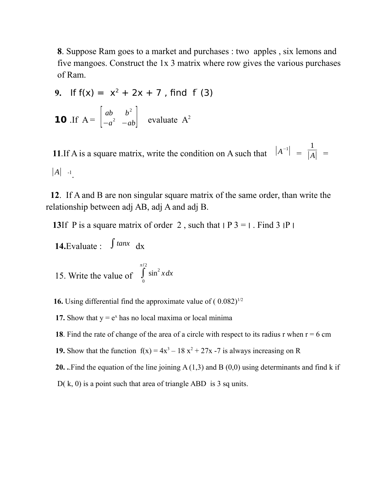**8**. Suppose Ram goes to a market and purchases : two apples , six lemons and five mangoes. Construct the 1x 3 matrix where row gives the various purchases of Ram.

9. If 
$$
f(x) = x^2 + 2x + 7
$$
, find  $f'(3)$   
\n
$$
\begin{bmatrix} ab & b^2 \end{bmatrix}
$$

**10** If 
$$
A = \begin{bmatrix} ab & b^2 \\ -a^2 & -ab \end{bmatrix}
$$
 evaluate  $A^2$ 

**11**. If A is a square matrix, write the condition on A such that  $|A^{-1}| =$ 1  $|\overline{A}|$  =  $|A|$  -1.

 **12**. If A and B are non singular square matrix of the same order, than write the relationship between adj AB, adj A and adj B.

**13**If P is a square matrix of order 2, such that  $|P_1 - P_2|$ . Find  $|P_1 - P_2|$ 

 **14.**Evaluate : ∫*tanx* dx

15. Write the value of  $\int_{0}^{1}$ *π* / 2  $\sin^2 x dx$ 

**16.** Using differential find the approximate value of  $(0.082)^{1/2}$ 

**17.** Show that  $y = e^x$  has no local maxima or local minima

**18**. Find the rate of change of the area of a circle with respect to its radius r when  $r = 6$  cm

**19.** Show that the function  $f(x) = 4x^3 - 18x^2 + 27x - 7$  is always increasing on R

 **20. .**.Find the equation of the line joining A (1,3) and B (0,0) using determinants and find k if

 $D(k, 0)$  is a point such that area of triangle ABD is 3 sq units.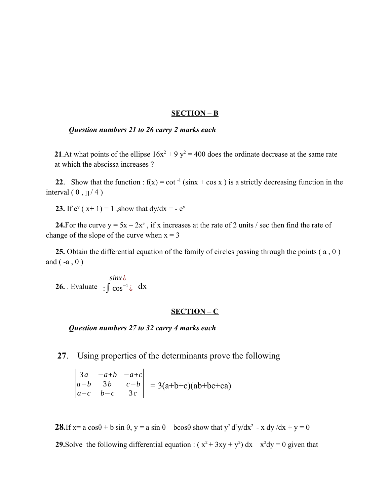#### **SECTION – B**

### *Question numbers 21 to 26 carry 2 marks each*

**21.** At what points of the ellipse  $16x^2 + 9y^2 = 400$  does the ordinate decrease at the same rate at which the abscissa increases ?

**22.** Show that the function :  $f(x) = \cot^{-1}(\sin x + \cos x)$  is a strictly decreasing function in the interval ( $0, \pi/4$ )

**23.** If  $e^{y}$  ( $x+1$ ) = 1, show that  $dy/dx = -e^{y}$ 

**24.**For the curve  $y = 5x - 2x^3$ , if x increases at the rate of 2 units / sec then find the rate of change of the slope of the curve when  $x = 3$ 

 **25.** Obtain the differential equation of the family of circles passing through the points ( a , 0 ) and  $(-a, 0)$ 

**26.** . Evaluate  $\int \cos^{-1} \zeta \, dx$ *sinx* ¿

#### **SECTION – C**

*Question numbers 27 to 32 carry 4 marks each*

**27**. Using properties of the determinants prove the following

$$
\begin{vmatrix} 3a & -a+b & -a+c \ a-b & 3b & c-b \ a-c & b-c & 3c \end{vmatrix} = 3(a+b+c)(ab+bc+ca)
$$

**28.**If  $x = a \cos\theta + b \sin \theta$ ,  $y = a \sin \theta - b \cos \theta$  show that  $y^2 d^2y/dx^2 - x dy/dx + y = 0$ **29.**Solve the following differential equation :  $(x^2 + 3xy + y^2) dx - x^2 dy = 0$  given that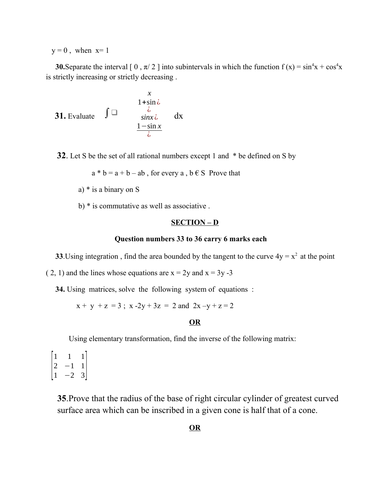$y = 0$ , when  $x=1$ 

**30.**Separate the interval [0,  $\pi/2$ ] into subintervals in which the function  $f(x) = \sin^4 x + \cos^4 x$ is strictly increasing or strictly decreasing .

31. Evaluate 
$$
\int \square
$$
  
\n $\frac{1 + \sin \lambda}{\sin x \lambda}$  dx  
\n $\frac{1 - \sin x}{\lambda}$ 

**32**. Let S be the set of all rational numbers except 1 and  $*$  be defined on S by

 $a * b = a + b - ab$ , for every a,  $b \in S$  Prove that

- a) \* is a binary on S
- b) \* is commutative as well as associative .

#### **SECTION – D**

### **Question numbers 33 to 36 carry 6 marks each**

**33**.Using integration, find the area bounded by the tangent to the curve  $4y = x^2$  at the point

( 2, 1) and the lines whose equations are  $x = 2y$  and  $x = 3y -3$ 

**34.** Using matrices, solve the following system of equations :

 $x + y + z = 3$ ;  $x - 2y + 3z = 2$  and  $2x - y + z = 2$ 

# **OR**

Using elementary transformation, find the inverse of the following matrix:

 $\overline{1}$ 1 1 1 2 −1 1  $\begin{vmatrix} 1 & -2 & 3 \end{vmatrix}$ 

> **35**.Prove that the radius of the base of right circular cylinder of greatest curved surface area which can be inscribed in a given cone is half that of a cone.